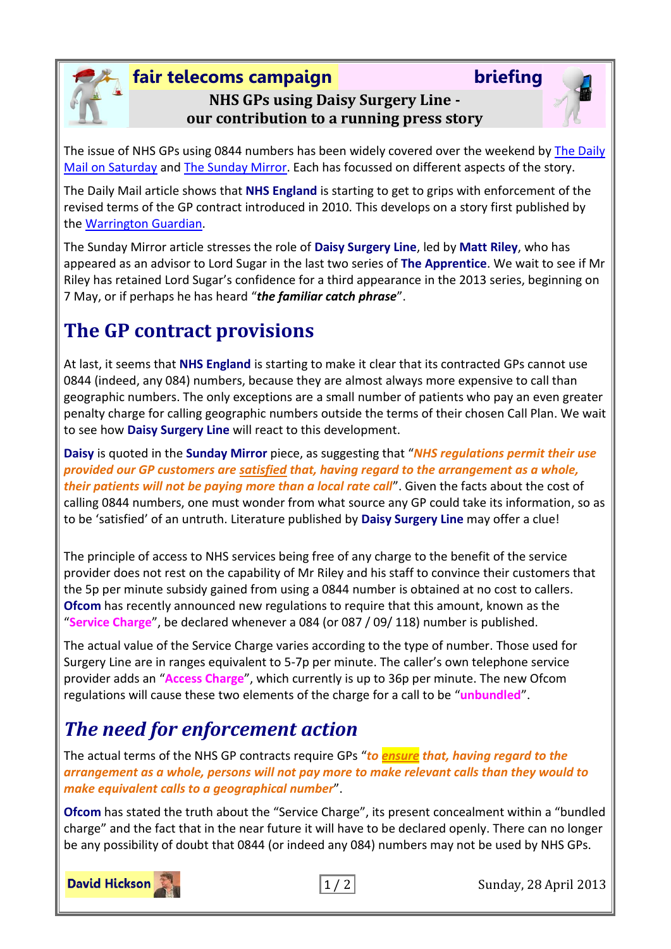#### **fair telecoms campaign briefing NHS GPs using Daisy Surgery Line our contribution to a running press story**



The issue of NHS GPs using 0844 numbers has been widely covered over the weekend by [The Daily](http://www.dailymail.co.uk/news/article-2315541/Is-end-premium-rate-lines-GP-NHS-orders-doctors-drop-40p-minute-charges.html)  [Mail on Saturday](http://www.dailymail.co.uk/news/article-2315541/Is-end-premium-rate-lines-GP-NHS-orders-doctors-drop-40p-minute-charges.html) and [The Sunday Mirror.](http://www.mirror.co.uk/news/uk-news/nhs-patients-calling-doctor-paying-1857870) Each has focussed on different aspects of the story.

The Daily Mail article shows that **NHS England** is starting to get to grips with enforcement of the revised terms of the GP contract introduced in 2010. This develops on a story first published by th[e Warrington Guardian.](http://www.warringtonguardian.co.uk/news/10373744.GPs_in_0844_phone_line_U_turn/)

The Sunday Mirror article stresses the role of **Daisy Surgery Line**, led by **Matt Riley**, who has appeared as an advisor to Lord Sugar in the last two series of **The Apprentice**. We wait to see if Mr Riley has retained Lord Sugar's confidence for a third appearance in the 2013 series, beginning on 7 May, or if perhaps he has heard "*the familiar catch phrase*".

# **The GP contract provisions**

At last, it seems that **NHS England** is starting to make it clear that its contracted GPs cannot use 0844 (indeed, any 084) numbers, because they are almost always more expensive to call than geographic numbers. The only exceptions are a small number of patients who pay an even greater penalty charge for calling geographic numbers outside the terms of their chosen Call Plan. We wait to see how **Daisy Surgery Line** will react to this development.

**Daisy** is quoted in the **Sunday Mirror** piece, as suggesting that "*NHS regulations permit their use provided our GP customers are satisfied that, having regard to the arrangement as a whole, their patients will not be paying more than a local rate call*". Given the facts about the cost of calling 0844 numbers, one must wonder from what source any GP could take its information, so as to be 'satisfied' of an untruth. Literature published by **Daisy Surgery Line** may offer a clue!

The principle of access to NHS services being free of any charge to the benefit of the service provider does not rest on the capability of Mr Riley and his staff to convince their customers that the 5p per minute subsidy gained from using a 0844 number is obtained at no cost to callers. **Ofcom** has recently announced new regulations to require that this amount, known as the "**Service Charge**", be declared whenever a 084 (or 087 / 09/ 118) number is published.

The actual value of the Service Charge varies according to the type of number. Those used for Surgery Line are in ranges equivalent to 5-7p per minute. The caller's own telephone service provider adds an "**Access Charge**", which currently is up to 36p per minute. The new Ofcom regulations will cause these two elements of the charge for a call to be "**unbundled**".

### *The need for enforcement action*

The actual terms of the NHS GP contracts require GPs "*to ensure that, having regard to the arrangement as a whole, persons will not pay more to make relevant calls than they would to make equivalent calls to a geographical number*".

**Ofcom** has stated the truth about the "Service Charge", its present concealment within a "bundled charge" and the fact that in the near future it will have to be declared openly. There can no longer be any possibility of doubt that 0844 (or indeed any 084) numbers may not be used by NHS GPs.



1 / 2 Sunday, 28 April 2013